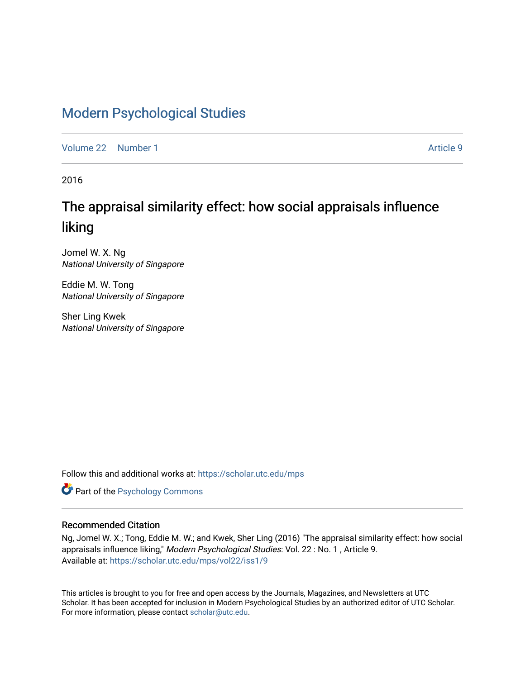# [Modern Psychological Studies](https://scholar.utc.edu/mps)

[Volume 22](https://scholar.utc.edu/mps/vol22) [Number 1](https://scholar.utc.edu/mps/vol22/iss1) Article 9

2016

# The appraisal similarity effect: how social appraisals influence liking

Jomel W. X. Ng National University of Singapore

Eddie M. W. Tong National University of Singapore

Sher Ling Kwek National University of Singapore

Follow this and additional works at: [https://scholar.utc.edu/mps](https://scholar.utc.edu/mps?utm_source=scholar.utc.edu%2Fmps%2Fvol22%2Fiss1%2F9&utm_medium=PDF&utm_campaign=PDFCoverPages) 

**Part of the Psychology Commons** 

#### Recommended Citation

Ng, Jomel W. X.; Tong, Eddie M. W.; and Kwek, Sher Ling (2016) "The appraisal similarity effect: how social appraisals influence liking," Modern Psychological Studies: Vol. 22 : No. 1 , Article 9. Available at: [https://scholar.utc.edu/mps/vol22/iss1/9](https://scholar.utc.edu/mps/vol22/iss1/9?utm_source=scholar.utc.edu%2Fmps%2Fvol22%2Fiss1%2F9&utm_medium=PDF&utm_campaign=PDFCoverPages) 

This articles is brought to you for free and open access by the Journals, Magazines, and Newsletters at UTC Scholar. It has been accepted for inclusion in Modern Psychological Studies by an authorized editor of UTC Scholar. For more information, please contact [scholar@utc.edu](mailto:scholar@utc.edu).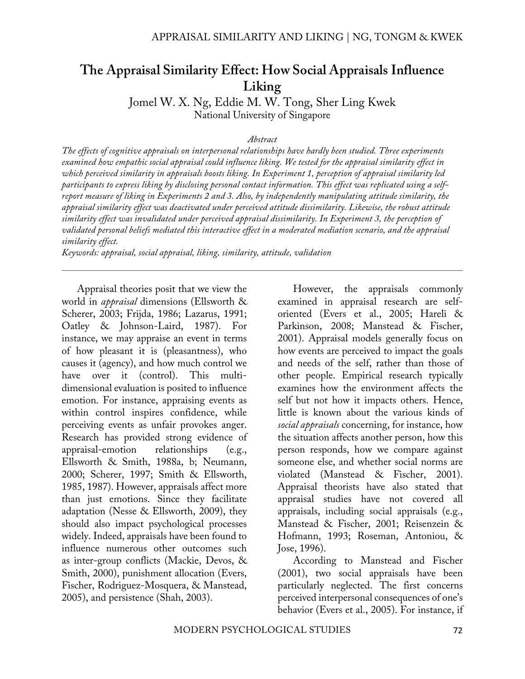# **The Appraisal Similarity Effect: How Social Appraisals Influence Liking**

Jomel W. X. Ng, Eddie M. W. Tong, Sher Ling Kwek National University of Singapore

#### *Abstract*

*The effects of cognitive appraisals on interpersonal relationships have hardly been studied. Three experiments examined how empathic social appraisal could influence liking. We tested for the appraisal similarity effect in which perceived similarity in appraisals boosts liking. In Experiment 1, perception of appraisal similarity led participants to express liking by disclosing personal contact information. This effect was replicated using a selfreport measure of liking in Experiments 2 and 3. Also, by independently manipulating attitude similarity, the appraisal similarity effect was deactivated under perceived attitude dissimilarity. Likewise, the robust attitude similarity effect was invalidated under perceived appraisal dissimilarity. In Experiment 3, the perception of validated personal beliefs mediated this interactive effect in a moderated mediation scenario, and the appraisal similarity effect.* 

*Keywords: appraisal, social appraisal, liking, similarity, attitude, validation*

Appraisal theories posit that we view the world in *appraisal* dimensions (Ellsworth & Scherer, 2003; Frijda, 1986; Lazarus, 1991; Oatley & Johnson-Laird, 1987). For instance, we may appraise an event in terms of how pleasant it is (pleasantness), who causes it (agency), and how much control we have over it (control). This multidimensional evaluation is posited to influence emotion. For instance, appraising events as within control inspires confidence, while perceiving events as unfair provokes anger. Research has provided strong evidence of appraisal-emotion relationships (e.g., Ellsworth & Smith, 1988a, b; Neumann, 2000; Scherer, 1997; Smith & Ellsworth, 1985, 1987). However, appraisals affect more than just emotions. Since they facilitate adaptation (Nesse & Ellsworth, 2009), they should also impact psychological processes widely. Indeed, appraisals have been found to influence numerous other outcomes such as inter-group conflicts (Mackie, Devos, & Smith, 2000), punishment allocation (Evers, Fischer, Rodriguez-Mosquera, & Manstead, 2005), and persistence (Shah, 2003).

However, the appraisals commonly examined in appraisal research are selforiented (Evers et al., 2005; Hareli & Parkinson, 2008; Manstead & Fischer, 2001). Appraisal models generally focus on how events are perceived to impact the goals and needs of the self, rather than those of other people. Empirical research typically examines how the environment affects the self but not how it impacts others. Hence, little is known about the various kinds of *social appraisals* concerning, for instance, how the situation affects another person, how this person responds, how we compare against someone else, and whether social norms are violated (Manstead & Fischer, 2001). Appraisal theorists have also stated that appraisal studies have not covered all appraisals, including social appraisals (e.g., Manstead & Fischer, 2001; Reisenzein & Hofmann, 1993; Roseman, Antoniou, & Jose, 1996).

According to Manstead and Fischer (2001), two social appraisals have been particularly neglected. The first concerns perceived interpersonal consequences of one's behavior (Evers et al., 2005). For instance, if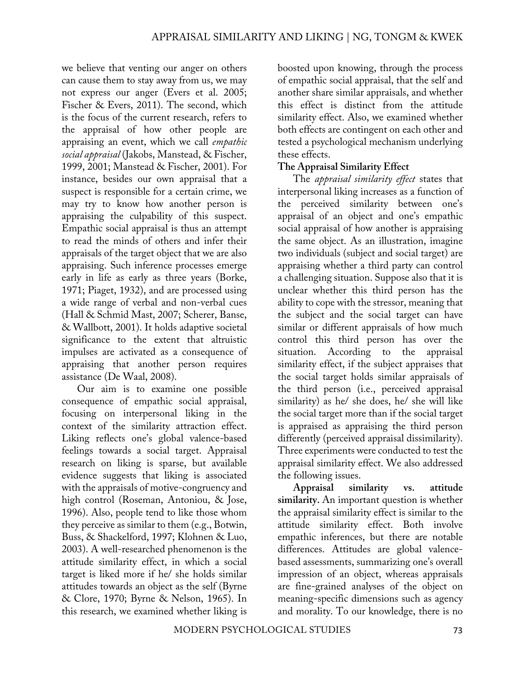we believe that venting our anger on others can cause them to stay away from us, we may not express our anger (Evers et al. 2005; Fischer & Evers, 2011). The second, which is the focus of the current research, refers to the appraisal of how other people are appraising an event, which we call *empathic social appraisal* (Jakobs, Manstead, & Fischer, 1999, 2001; Manstead & Fischer, 2001). For instance, besides our own appraisal that a suspect is responsible for a certain crime, we may try to know how another person is appraising the culpability of this suspect. Empathic social appraisal is thus an attempt to read the minds of others and infer their appraisals of the target object that we are also appraising. Such inference processes emerge early in life as early as three years (Borke, 1971; Piaget, 1932), and are processed using a wide range of verbal and non-verbal cues (Hall & Schmid Mast, 2007; Scherer, Banse, & Wallbott, 2001). It holds adaptive societal significance to the extent that altruistic impulses are activated as a consequence of appraising that another person requires assistance (De Waal, 2008).

Our aim is to examine one possible consequence of empathic social appraisal, focusing on interpersonal liking in the context of the similarity attraction effect. Liking reflects one's global valence-based feelings towards a social target. Appraisal research on liking is sparse, but available evidence suggests that liking is associated with the appraisals of motive-congruency and high control (Roseman, Antoniou, & Jose, 1996). Also, people tend to like those whom they perceive as similar to them (e.g., Botwin, Buss, & Shackelford, 1997; Klohnen & Luo, 2003). A well-researched phenomenon is the attitude similarity effect, in which a social target is liked more if he/ she holds similar attitudes towards an object as the self (Byrne & Clore, 1970; Byrne & Nelson, 1965). In this research, we examined whether liking is

boosted upon knowing, through the process of empathic social appraisal, that the self and another share similar appraisals, and whether this effect is distinct from the attitude similarity effect. Also, we examined whether both effects are contingent on each other and tested a psychological mechanism underlying these effects.

#### **The Appraisal Similarity Effect**

The *appraisal similarity effect* states that interpersonal liking increases as a function of the perceived similarity between one's appraisal of an object and one's empathic social appraisal of how another is appraising the same object. As an illustration, imagine two individuals (subject and social target) are appraising whether a third party can control a challenging situation. Suppose also that it is unclear whether this third person has the ability to cope with the stressor, meaning that the subject and the social target can have similar or different appraisals of how much control this third person has over the situation. According to the appraisal similarity effect, if the subject appraises that the social target holds similar appraisals of the third person (i.e., perceived appraisal similarity) as he/ she does, he/ she will like the social target more than if the social target is appraised as appraising the third person differently (perceived appraisal dissimilarity). Three experiments were conducted to test the appraisal similarity effect. We also addressed the following issues.

**Appraisal similarity vs. attitude similarity.** An important question is whether the appraisal similarity effect is similar to the attitude similarity effect. Both involve empathic inferences, but there are notable differences. Attitudes are global valencebased assessments, summarizing one's overall impression of an object, whereas appraisals are fine-grained analyses of the object on meaning-specific dimensions such as agency and morality. To our knowledge, there is no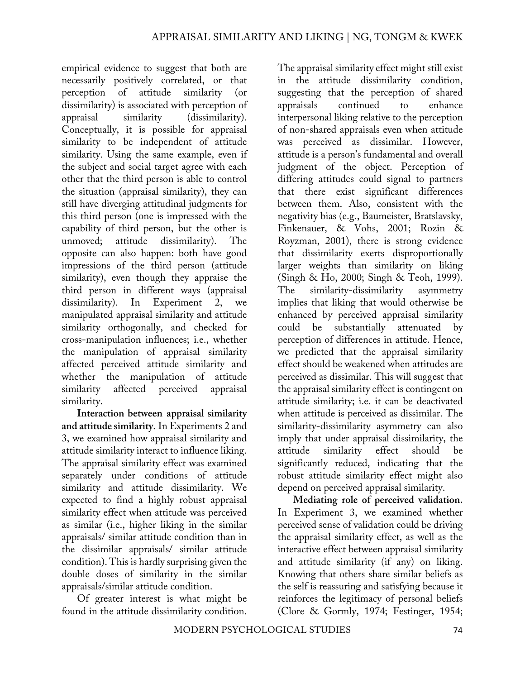empirical evidence to suggest that both are necessarily positively correlated, or that<br>perception of attitude similarity (or perception of attitude similarity (or dissimilarity) is associated with perception of appraisal similarity (dissimilarity). Conceptually, it is possible for appraisal similarity to be independent of attitude similarity. Using the same example, even if the subject and social target agree with each other that the third person is able to control the situation (appraisal similarity), they can still have diverging attitudinal judgments for this third person (one is impressed with the capability of third person, but the other is unmoved; attitude dissimilarity). The opposite can also happen: both have good impressions of the third person (attitude similarity), even though they appraise the third person in different ways (appraisal dissimilarity). In Experiment 2, we manipulated appraisal similarity and attitude similarity orthogonally, and checked for cross-manipulation influences; i.e., whether the manipulation of appraisal similarity affected perceived attitude similarity and whether the manipulation of attitude similarity affected perceived appraisal similarity.

**Interaction between appraisal similarity and attitude similarity.** In Experiments 2 and 3, we examined how appraisal similarity and attitude similarity interact to influence liking. The appraisal similarity effect was examined separately under conditions of attitude similarity and attitude dissimilarity. We expected to find a highly robust appraisal similarity effect when attitude was perceived as similar (i.e., higher liking in the similar appraisals/ similar attitude condition than in the dissimilar appraisals/ similar attitude condition). This is hardly surprising given the double doses of similarity in the similar appraisals/similar attitude condition.

Of greater interest is what might be found in the attitude dissimilarity condition.

The appraisal similarity effect might still exist in the attitude dissimilarity condition, suggesting that the perception of shared appraisals continued to enhance interpersonal liking relative to the perception of non-shared appraisals even when attitude was perceived as dissimilar. However, attitude is a person's fundamental and overall judgment of the object. Perception of differing attitudes could signal to partners that there exist significant differences between them. Also, consistent with the negativity bias (e.g., Baumeister, Bratslavsky, Finkenauer, & Vohs, 2001; Rozin & Royzman, 2001), there is strong evidence that dissimilarity exerts disproportionally larger weights than similarity on liking (Singh & Ho, 2000; Singh & Teoh, 1999). The similarity-dissimilarity asymmetry implies that liking that would otherwise be enhanced by perceived appraisal similarity could be substantially attenuated by perception of differences in attitude. Hence, we predicted that the appraisal similarity effect should be weakened when attitudes are perceived as dissimilar. This will suggest that the appraisal similarity effect is contingent on attitude similarity; i.e. it can be deactivated when attitude is perceived as dissimilar. The similarity-dissimilarity asymmetry can also imply that under appraisal dissimilarity, the attitude similarity effect should be significantly reduced, indicating that the robust attitude similarity effect might also depend on perceived appraisal similarity.

**Mediating role of perceived validation.**  In Experiment 3, we examined whether perceived sense of validation could be driving the appraisal similarity effect, as well as the interactive effect between appraisal similarity and attitude similarity (if any) on liking. Knowing that others share similar beliefs as the self is reassuring and satisfying because it reinforces the legitimacy of personal beliefs (Clore & Gormly, 1974; Festinger, 1954;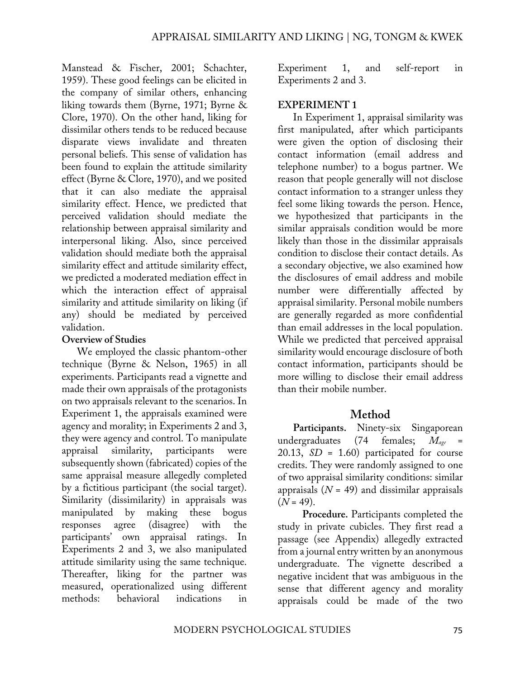Manstead & Fischer, 2001; Schachter, 1959). These good feelings can be elicited in the company of similar others, enhancing liking towards them (Byrne, 1971; Byrne & Clore, 1970). On the other hand, liking for dissimilar others tends to be reduced because disparate views invalidate and threaten personal beliefs. This sense of validation has been found to explain the attitude similarity effect (Byrne & Clore, 1970), and we posited that it can also mediate the appraisal similarity effect. Hence, we predicted that perceived validation should mediate the relationship between appraisal similarity and interpersonal liking. Also, since perceived validation should mediate both the appraisal similarity effect and attitude similarity effect, we predicted a moderated mediation effect in which the interaction effect of appraisal similarity and attitude similarity on liking (if any) should be mediated by perceived validation.

#### **Overview of Studies**

We employed the classic phantom-other technique (Byrne & Nelson, 1965) in all experiments. Participants read a vignette and made their own appraisals of the protagonists on two appraisals relevant to the scenarios. In Experiment 1, the appraisals examined were agency and morality; in Experiments 2 and 3, they were agency and control. To manipulate appraisal similarity, participants were subsequently shown (fabricated) copies of the same appraisal measure allegedly completed by a fictitious participant (the social target). Similarity (dissimilarity) in appraisals was manipulated by making these bogus responses agree (disagree) with the participants' own appraisal ratings. In Experiments 2 and 3, we also manipulated attitude similarity using the same technique. Thereafter, liking for the partner was measured, operationalized using different methods: behavioral indications in

Experiment 1, and self-report in Experiments 2 and 3.

### **EXPERIMENT 1**

In Experiment 1, appraisal similarity was first manipulated, after which participants were given the option of disclosing their contact information (email address and telephone number) to a bogus partner. We reason that people generally will not disclose contact information to a stranger unless they feel some liking towards the person. Hence, we hypothesized that participants in the similar appraisals condition would be more likely than those in the dissimilar appraisals condition to disclose their contact details. As a secondary objective, we also examined how the disclosures of email address and mobile number were differentially affected by appraisal similarity. Personal mobile numbers are generally regarded as more confidential than email addresses in the local population. While we predicted that perceived appraisal similarity would encourage disclosure of both contact information, participants should be more willing to disclose their email address than their mobile number.

# **Method**

Participants. Ninety-six Singaporean undergraduates (74 females;  $M_{\text{ave}}$  = 20.13, *SD* = 1.60) participated for course credits. They were randomly assigned to one of two appraisal similarity conditions: similar appraisals (*N* = 49) and dissimilar appraisals  $(N = 49)$ .

**Procedure.** Participants completed the study in private cubicles. They first read a passage (see Appendix) allegedly extracted from a journal entry written by an anonymous undergraduate. The vignette described a negative incident that was ambiguous in the sense that different agency and morality appraisals could be made of the two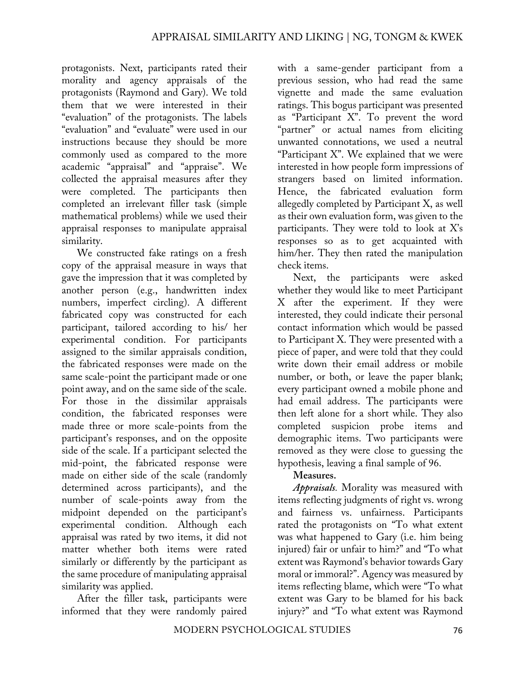protagonists. Next, participants rated their morality and agency appraisals of the protagonists (Raymond and Gary). We told them that we were interested in their "evaluation" of the protagonists. The labels "evaluation" and "evaluate" were used in our instructions because they should be more commonly used as compared to the more academic "appraisal" and "appraise". We collected the appraisal measures after they were completed. The participants then completed an irrelevant filler task (simple mathematical problems) while we used their appraisal responses to manipulate appraisal similarity.

We constructed fake ratings on a fresh copy of the appraisal measure in ways that gave the impression that it was completed by another person (e.g., handwritten index numbers, imperfect circling). A different fabricated copy was constructed for each participant, tailored according to his/ her experimental condition. For participants assigned to the similar appraisals condition, the fabricated responses were made on the same scale-point the participant made or one point away, and on the same side of the scale. For those in the dissimilar appraisals condition, the fabricated responses were made three or more scale-points from the participant's responses, and on the opposite side of the scale. If a participant selected the mid-point, the fabricated response were made on either side of the scale (randomly determined across participants), and the number of scale-points away from the midpoint depended on the participant's experimental condition. Although each appraisal was rated by two items, it did not matter whether both items were rated similarly or differently by the participant as the same procedure of manipulating appraisal similarity was applied.

After the filler task, participants were informed that they were randomly paired

with a same-gender participant from a previous session, who had read the same vignette and made the same evaluation ratings. This bogus participant was presented as "Participant X". To prevent the word "partner" or actual names from eliciting unwanted connotations, we used a neutral "Participant X". We explained that we were interested in how people form impressions of strangers based on limited information. Hence, the fabricated evaluation form allegedly completed by Participant X, as well as their own evaluation form, was given to the participants. They were told to look at X's responses so as to get acquainted with him/her. They then rated the manipulation check items.

Next, the participants were asked whether they would like to meet Participant X after the experiment. If they were interested, they could indicate their personal contact information which would be passed to Participant X. They were presented with a piece of paper, and were told that they could write down their email address or mobile number, or both, or leave the paper blank; every participant owned a mobile phone and had email address. The participants were then left alone for a short while. They also completed suspicion probe items and demographic items. Two participants were removed as they were close to guessing the hypothesis, leaving a final sample of 96.

## **Measures.**

*Appraisals.* Morality was measured with items reflecting judgments of right vs. wrong and fairness vs. unfairness. Participants rated the protagonists on "To what extent was what happened to Gary (i.e. him being injured) fair or unfair to him?" and "To what extent was Raymond's behavior towards Gary moral or immoral?". Agency was measured by items reflecting blame, which were "To what extent was Gary to be blamed for his back injury?" and "To what extent was Raymond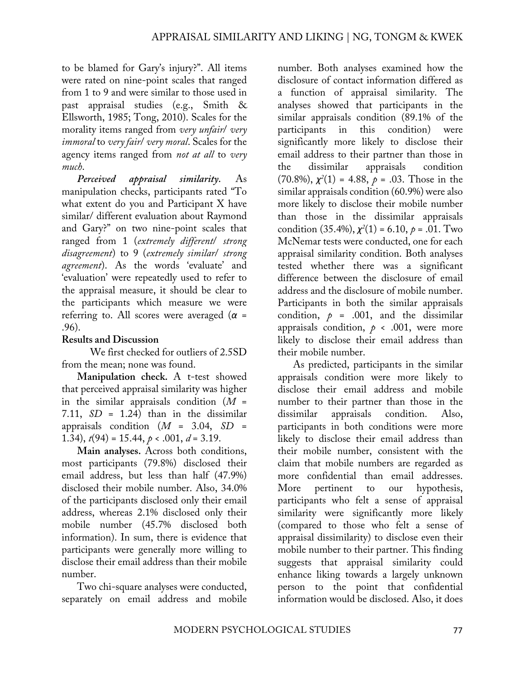to be blamed for Gary's injury?". All items were rated on nine-point scales that ranged from 1 to 9 and were similar to those used in past appraisal studies (e.g., Smith & Ellsworth, 1985; Tong, 2010). Scales for the morality items ranged from *very unfair*/ *very immoral* to *very fair*/ *very moral*. Scales for the agency items ranged from *not at all* to *very much*.

*Perceived appraisal similarity.* As manipulation checks, participants rated "To what extent do you and Participant X have similar/ different evaluation about Raymond and Gary?" on two nine-point scales that ranged from 1 (*extremely different*/ *strong disagreement*) to 9 (*extremely similar*/ *strong agreement*). As the words 'evaluate' and 'evaluation' were repeatedly used to refer to the appraisal measure, it should be clear to the participants which measure we were referring to. All scores were averaged (*α* = .96).

### **Results and Discussion**

 We first checked for outliers of 2.5SD from the mean; none was found.

**Manipulation check.** A t-test showed that perceived appraisal similarity was higher in the similar appraisals condition (*M* = 7.11,  $SD = 1.24$ ) than in the dissimilar appraisals condition (*M* = 3.04, *SD* = 1.34),  $t(94) = 15.44$ ,  $p < .001$ ,  $d = 3.19$ .

**Main analyses.** Across both conditions, most participants (79.8%) disclosed their email address, but less than half (47.9%) disclosed their mobile number. Also, 34.0% of the participants disclosed only their email address, whereas 2.1% disclosed only their mobile number (45.7% disclosed both information). In sum, there is evidence that participants were generally more willing to disclose their email address than their mobile number.

Two chi-square analyses were conducted, separately on email address and mobile

number. Both analyses examined how the disclosure of contact information differed as a function of appraisal similarity. The analyses showed that participants in the similar appraisals condition (89.1% of the participants in this condition) were significantly more likely to disclose their email address to their partner than those in the dissimilar appraisals condition  $(70.8\%), \chi^2(1) = 4.88, \rho = .03$ . Those in the similar appraisals condition (60.9%) were also more likely to disclose their mobile number than those in the dissimilar appraisals condition  $(35.4\%), \chi^2(1) = 6.10, \rho = .01$ . Two McNemar tests were conducted, one for each appraisal similarity condition. Both analyses tested whether there was a significant difference between the disclosure of email address and the disclosure of mobile number. Participants in both the similar appraisals condition,  $p = .001$ , and the dissimilar appraisals condition,  $p \times .001$ , were more likely to disclose their email address than their mobile number.

As predicted, participants in the similar appraisals condition were more likely to disclose their email address and mobile number to their partner than those in the dissimilar appraisals condition. Also, participants in both conditions were more likely to disclose their email address than their mobile number, consistent with the claim that mobile numbers are regarded as more confidential than email addresses. More pertinent to our hypothesis, participants who felt a sense of appraisal similarity were significantly more likely (compared to those who felt a sense of appraisal dissimilarity) to disclose even their mobile number to their partner. This finding suggests that appraisal similarity could enhance liking towards a largely unknown person to the point that confidential information would be disclosed. Also, it does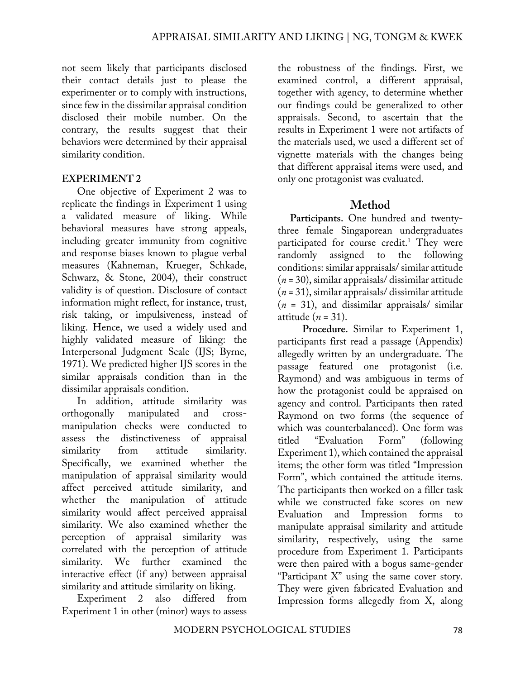not seem likely that participants disclosed their contact details just to please the experimenter or to comply with instructions, since few in the dissimilar appraisal condition disclosed their mobile number. On the contrary, the results suggest that their behaviors were determined by their appraisal similarity condition.

## **EXPERIMENT 2**

One objective of Experiment 2 was to replicate the findings in Experiment 1 using a validated measure of liking. While behavioral measures have strong appeals, including greater immunity from cognitive and response biases known to plague verbal measures (Kahneman, Krueger, Schkade, Schwarz, & Stone, 2004), their construct validity is of question. Disclosure of contact information might reflect, for instance, trust, risk taking, or impulsiveness, instead of liking. Hence, we used a widely used and highly validated measure of liking: the Interpersonal Judgment Scale (IJS; Byrne, 1971). We predicted higher IJS scores in the similar appraisals condition than in the dissimilar appraisals condition.

In addition, attitude similarity was orthogonally manipulated and crossmanipulation checks were conducted to assess the distinctiveness of appraisal similarity from attitude similarity. Specifically, we examined whether the manipulation of appraisal similarity would affect perceived attitude similarity, and whether the manipulation of attitude similarity would affect perceived appraisal similarity. We also examined whether the perception of appraisal similarity was correlated with the perception of attitude similarity. We further examined the interactive effect (if any) between appraisal similarity and attitude similarity on liking.

Experiment 2 also differed from Experiment 1 in other (minor) ways to assess the robustness of the findings. First, we examined control, a different appraisal, together with agency, to determine whether our findings could be generalized to other appraisals. Second, to ascertain that the results in Experiment 1 were not artifacts of the materials used, we used a different set of vignette materials with the changes being that different appraisal items were used, and only one protagonist was evaluated.

# **Method**

**Participants.** One hundred and twentythree female Singaporean undergraduates participated for course credit.<sup>1</sup> They were randomly assigned to the following conditions: similar appraisals/ similar attitude (*n* = 30), similar appraisals/ dissimilar attitude (*n* = 31), similar appraisals/ dissimilar attitude (*n* = 31), and dissimilar appraisals/ similar attitude (*n* = 31).

**Procedure.** Similar to Experiment 1, participants first read a passage (Appendix) allegedly written by an undergraduate. The passage featured one protagonist (i.e. Raymond) and was ambiguous in terms of how the protagonist could be appraised on agency and control. Participants then rated Raymond on two forms (the sequence of which was counterbalanced). One form was titled "Evaluation Form" (following Experiment 1), which contained the appraisal items; the other form was titled "Impression Form", which contained the attitude items. The participants then worked on a filler task while we constructed fake scores on new Evaluation and Impression forms to manipulate appraisal similarity and attitude similarity, respectively, using the same procedure from Experiment 1. Participants were then paired with a bogus same-gender "Participant X" using the same cover story. They were given fabricated Evaluation and Impression forms allegedly from X, along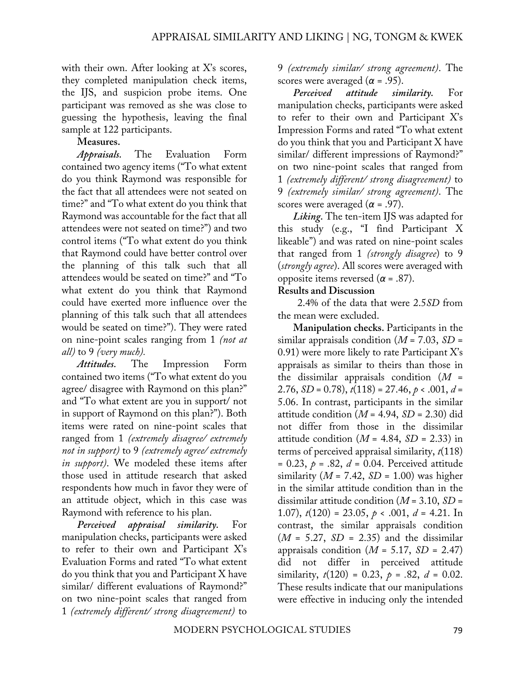with their own. After looking at X's scores, they completed manipulation check items, the IJS, and suspicion probe items. One participant was removed as she was close to guessing the hypothesis, leaving the final sample at 122 participants.

#### **Measures.**

*Appraisals.* The Evaluation Form contained two agency items ("To what extent do you think Raymond was responsible for the fact that all attendees were not seated on time?" and "To what extent do you think that Raymond was accountable for the fact that all attendees were not seated on time?") and two control items ("To what extent do you think that Raymond could have better control over the planning of this talk such that all attendees would be seated on time?" and "To what extent do you think that Raymond could have exerted more influence over the planning of this talk such that all attendees would be seated on time?"). They were rated on nine-point scales ranging from 1 *(not at all)* to 9 *(very much).*

*Attitudes.* The Impression Form contained two items ("To what extent do you agree/ disagree with Raymond on this plan?" and "To what extent are you in support/ not in support of Raymond on this plan?"). Both items were rated on nine-point scales that ranged from 1 *(extremely disagree/ extremely not in support)* to 9 *(extremely agree/ extremely in support)*. We modeled these items after those used in attitude research that asked respondents how much in favor they were of an attitude object, which in this case was Raymond with reference to his plan.

*Perceived appraisal similarity.* For manipulation checks, participants were asked to refer to their own and Participant X's Evaluation Forms and rated "To what extent do you think that you and Participant X have similar/ different evaluations of Raymond?" on two nine-point scales that ranged from 1 *(extremely different/ strong disagreement)* to

9 *(extremely similar/ strong agreement)*. The scores were averaged ( $\alpha$  = .95).

*Perceived attitude similarity.* For manipulation checks, participants were asked to refer to their own and Participant X's Impression Forms and rated "To what extent do you think that you and Participant X have similar/ different impressions of Raymond?" on two nine-point scales that ranged from 1 *(extremely different/ strong disagreement)* to 9 *(extremely similar/ strong agreement)*. The scores were averaged ( $\alpha$  = .97).

*Liking.* The ten-item IJS was adapted for this study (e.g., "I find Participant X likeable") and was rated on nine-point scales that ranged from 1 *(strongly disagree*) to 9 (*strongly agree*). All scores were averaged with opposite items reversed (*α* = .87).

#### **Results and Discussion**

2.4% of the data that were 2.5*SD* from the mean were excluded.

**Manipulation checks.** Participants in the similar appraisals condition (*M* = 7.03, *SD* = 0.91) were more likely to rate Participant X's appraisals as similar to theirs than those in the dissimilar appraisals condition (*M* = 2.76, *SD* = 0.78), *t*(118) = 27.46, *p* < .001, *d* = 5.06. In contrast, participants in the similar attitude condition  $(M = 4.94, SD = 2.30)$  did not differ from those in the dissimilar attitude condition  $(M = 4.84, SD = 2.33)$  in terms of perceived appraisal similarity, *t*(118) = 0.23, *p =* .82, *d* = 0.04. Perceived attitude similarity  $(M = 7.42, SD = 1.00)$  was higher in the similar attitude condition than in the dissimilar attitude condition (*M* = 3.10, *SD* = 1.07), *t*(120) = 23.05, *p* < .001, *d* = 4.21. In contrast, the similar appraisals condition  $(M = 5.27, SD = 2.35)$  and the dissimilar appraisals condition  $(M = 5.17, SD = 2.47)$ did not differ in perceived attitude similarity,  $t(120) = 0.23$ ,  $p = .82$ ,  $d = 0.02$ . These results indicate that our manipulations were effective in inducing only the intended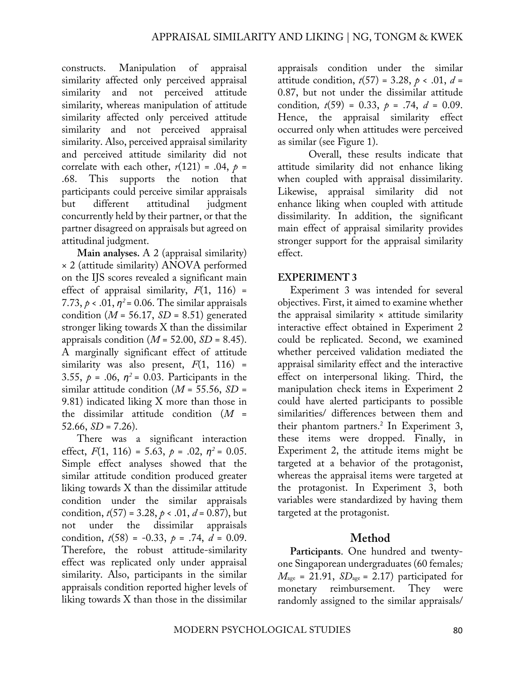constructs. Manipulation of appraisal similarity affected only perceived appraisal similarity and not perceived attitude similarity, whereas manipulation of attitude similarity affected only perceived attitude similarity and not perceived appraisal similarity. Also, perceived appraisal similarity and perceived attitude similarity did not correlate with each other,  $r(121) = .04$ ,  $p =$ .68. This supports the notion that participants could perceive similar appraisals but different attitudinal judgment concurrently held by their partner, or that the partner disagreed on appraisals but agreed on attitudinal judgment.

**Main analyses.** A 2 (appraisal similarity) × 2 (attitude similarity) ANOVA performed on the IJS scores revealed a significant main effect of appraisal similarity,  $F(1, 116)$  = 7.73,  $p < .01$ ,  $p^2 = 0.06$ . The similar appraisals condition ( $M = 56.17$ ,  $SD = 8.51$ ) generated stronger liking towards X than the dissimilar appraisals condition  $(M = 52.00, SD = 8.45)$ . A marginally significant effect of attitude similarity was also present,  $F(1, 116)$  = 3.55,  $p = .06$ ,  $p^2 = 0.03$ . Participants in the similar attitude condition (*M* = 55.56, *SD* = 9.81) indicated liking X more than those in the dissimilar attitude condition (*M* =  $52.66, SD = 7.26$ .

There was a significant interaction effect,  $F(1, 116) = 5.63$ ,  $p = .02$ ,  $p^2 = 0.05$ . Simple effect analyses showed that the similar attitude condition produced greater liking towards X than the dissimilar attitude condition under the similar appraisals condition,  $t(57) = 3.28$ ,  $p < .01$ ,  $d = 0.87$ ), but not under the dissimilar appraisals condition,  $t(58) = -0.33$ ,  $p = .74$ ,  $d = 0.09$ . Therefore, the robust attitude-similarity effect was replicated only under appraisal similarity. Also, participants in the similar appraisals condition reported higher levels of liking towards X than those in the dissimilar

appraisals condition under the similar attitude condition,  $t(57) = 3.28$ ,  $p < .01$ ,  $d =$ 0.87, but not under the dissimilar attitude condition,  $t(59) = 0.33$ ,  $p = .74$ ,  $d = 0.09$ . Hence, the appraisal similarity effect occurred only when attitudes were perceived as similar (see Figure 1).

Overall, these results indicate that attitude similarity did not enhance liking when coupled with appraisal dissimilarity. Likewise, appraisal similarity did not enhance liking when coupled with attitude dissimilarity. In addition, the significant main effect of appraisal similarity provides stronger support for the appraisal similarity effect.

### **EXPERIMENT 3**

Experiment 3 was intended for several objectives. First, it aimed to examine whether the appraisal similarity  $\times$  attitude similarity interactive effect obtained in Experiment 2 could be replicated. Second, we examined whether perceived validation mediated the appraisal similarity effect and the interactive effect on interpersonal liking. Third, the manipulation check items in Experiment 2 could have alerted participants to possible similarities/ differences between them and their phantom partners.<sup>2</sup> In Experiment 3, these items were dropped. Finally, in Experiment 2, the attitude items might be targeted at a behavior of the protagonist, whereas the appraisal items were targeted at the protagonist. In Experiment 3, both variables were standardized by having them targeted at the protagonist.

## **Method**

**Participants**. One hundred and twentyone Singaporean undergraduates (60 females*;*   $M_{\text{age}} = 21.91$ ,  $SD_{\text{age}} = 2.17$ ) participated for monetary reimbursement. They were randomly assigned to the similar appraisals/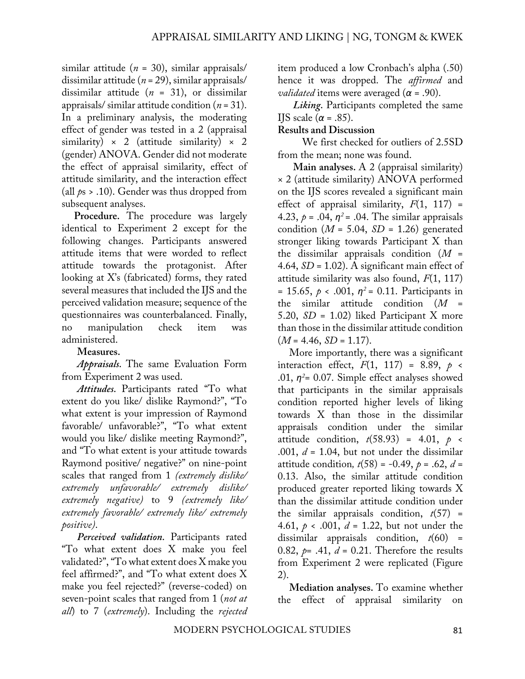similar attitude (*n* = 30), similar appraisals/ dissimilar attitude (*n* = 29), similar appraisals/ dissimilar attitude (*n* = 31), or dissimilar appraisals/ similar attitude condition (*n* = 31). In a preliminary analysis, the moderating effect of gender was tested in a 2 (appraisal similarity)  $\times$  2 (attitude similarity)  $\times$  2 (gender) ANOVA. Gender did not moderate the effect of appraisal similarity, effect of attitude similarity, and the interaction effect (all *p*s > .10). Gender was thus dropped from subsequent analyses.

**Procedure.** The procedure was largely identical to Experiment 2 except for the following changes. Participants answered attitude items that were worded to reflect attitude towards the protagonist. After looking at X's (fabricated) forms, they rated several measures that included the IJS and the perceived validation measure; sequence of the questionnaires was counterbalanced. Finally, no manipulation check item was administered.

# **Measures.**

*Appraisals.* The same Evaluation Form from Experiment 2 was used.

*Attitudes.* Participants rated "To what extent do you like/ dislike Raymond?", "To what extent is your impression of Raymond favorable/ unfavorable?", "To what extent would you like/ dislike meeting Raymond?", and "To what extent is your attitude towards Raymond positive/ negative?" on nine-point scales that ranged from 1 *(extremely dislike/ extremely unfavorable/ extremely dislike/ extremely negative)* to 9 *(extremely like/ extremely favorable/ extremely like/ extremely positive)*.

*Perceived validation.* Participants rated "To what extent does X make you feel validated?", "To what extent does X make you feel affirmed?", and "To what extent does X make you feel rejected?" (reverse-coded) on seven-point scales that ranged from 1 (*not at all*) to 7 (*extremely*). Including the *rejected* item produced a low Cronbach's alpha (.50) hence it was dropped. The *affirmed* and *validated* items were averaged (*α* = .90).

*Liking.* Participants completed the same IJS scale ( $\alpha$  = .85).

### **Results and Discussion**

We first checked for outliers of 2.5SD from the mean; none was found.

**Main analyses.** A 2 (appraisal similarity) × 2 (attitude similarity) ANOVA performed on the IJS scores revealed a significant main effect of appraisal similarity,  $F(1, 117) =$ 4.23,  $p = .04$ ,  $q^2 = .04$ . The similar appraisals condition  $(M = 5.04, SD = 1.26)$  generated stronger liking towards Participant X than the dissimilar appraisals condition (*M* = 4.64, *SD* = 1.02). A significant main effect of attitude similarity was also found, *F*(1, 117)  $= 15.65, p \le 0.001, \eta^2 = 0.11$ . Participants in the similar attitude condition (*M* = 5.20, *SD* = 1.02) liked Participant X more than those in the dissimilar attitude condition  $(M = 4.46, SD = 1.17).$ 

More importantly, there was a significant interaction effect,  $F(1, 117) = 8.89$ ,  $p \le$ .01,  $\eta^2$ = 0.07. Simple effect analyses showed that participants in the similar appraisals condition reported higher levels of liking towards X than those in the dissimilar appraisals condition under the similar attitude condition,  $t(58.93) = 4.01$ ,  $p \le$ .001, *d* = 1.04, but not under the dissimilar attitude condition,  $t(58) = -0.49$ ,  $p = .62$ ,  $d =$ 0.13. Also, the similar attitude condition produced greater reported liking towards X than the dissimilar attitude condition under the similar appraisals condition,  $t(57)$  = 4.61, *p* < .001, *d* = 1.22, but not under the dissimilar appraisals condition, *t*(60) = 0.82,  $p= .41, d = 0.21$ . Therefore the results from Experiment 2 were replicated (Figure 2).

**Mediation analyses.** To examine whether the effect of appraisal similarity on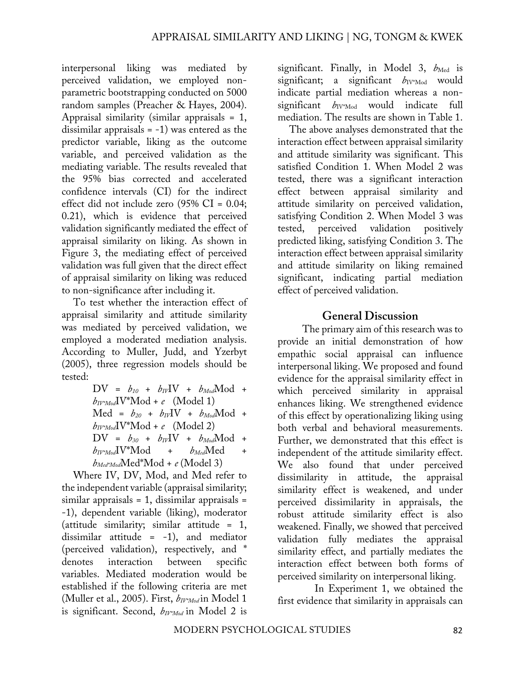interpersonal liking was mediated by perceived validation, we employed nonparametric bootstrapping conducted on 5000 random samples (Preacher & Hayes, 2004). Appraisal similarity (similar appraisals = 1, dissimilar appraisals  $= -1$ ) was entered as the predictor variable, liking as the outcome variable, and perceived validation as the mediating variable. The results revealed that the 95% bias corrected and accelerated confidence intervals (CI) for the indirect effect did not include zero (95% CI = 0.04; 0.21), which is evidence that perceived validation significantly mediated the effect of appraisal similarity on liking. As shown in Figure 3, the mediating effect of perceived validation was full given that the direct effect of appraisal similarity on liking was reduced to non-significance after including it.

To test whether the interaction effect of appraisal similarity and attitude similarity was mediated by perceived validation, we employed a moderated mediation analysis. According to Muller, Judd, and Yzerbyt (2005), three regression models should be tested:

> $DV = b_{10} + b_{IV}IV + b_{Mod}Mod +$  $b_{IV^*Mod}$ IV<sup>\*</sup>Mod + *e* (Model 1)  $Med = b_{20} + b_{IV}IV + b_{Mod}Mod +$  $b_{IV^*Mod}$ IV<sup>\*</sup>Mod + *e* (Model 2)  $DV = b_{30} + b_{IV}IV + b_{Mod}Mod +$  $b_{I\!V^*\!Mod}$  +  $b_{Med}$ Med +  $b_{Med^*Mod}$ Med<sup>\*</sup>Mod + *e* (Model 3)

Where IV, DV, Mod, and Med refer to the independent variable (appraisal similarity;  $similar$  appraisals = 1, dissimilar appraisals = -1), dependent variable (liking), moderator (attitude similarity; similar attitude = 1, dissimilar attitude = -1), and mediator (perceived validation), respectively, and \* denotes interaction between specific variables. Mediated moderation would be established if the following criteria are met (Muller et al., 2005). First, *bIV\*Mod* in Model 1 is significant. Second,  $b_{IV^*Mod}$  in Model 2 is

significant. Finally, in Model 3,  $b_{Med}$  is significant; a significant  $b_{\text{IV*Mod}}$  would indicate partial mediation whereas a nonsignificant  $b_{\text{IV*Mod}}$  would indicate full mediation. The results are shown in Table 1.

The above analyses demonstrated that the interaction effect between appraisal similarity and attitude similarity was significant. This satisfied Condition 1. When Model 2 was tested, there was a significant interaction effect between appraisal similarity and attitude similarity on perceived validation, satisfying Condition 2. When Model 3 was tested, perceived validation positively predicted liking, satisfying Condition 3. The interaction effect between appraisal similarity and attitude similarity on liking remained significant, indicating partial mediation effect of perceived validation.

# **General Discussion**

The primary aim of this research was to provide an initial demonstration of how empathic social appraisal can influence interpersonal liking. We proposed and found evidence for the appraisal similarity effect in which perceived similarity in appraisal enhances liking. We strengthened evidence of this effect by operationalizing liking using both verbal and behavioral measurements. Further, we demonstrated that this effect is independent of the attitude similarity effect. We also found that under perceived dissimilarity in attitude, the appraisal similarity effect is weakened, and under perceived dissimilarity in appraisals, the robust attitude similarity effect is also weakened. Finally, we showed that perceived validation fully mediates the appraisal similarity effect, and partially mediates the interaction effect between both forms of perceived similarity on interpersonal liking.

 In Experiment 1, we obtained the first evidence that similarity in appraisals can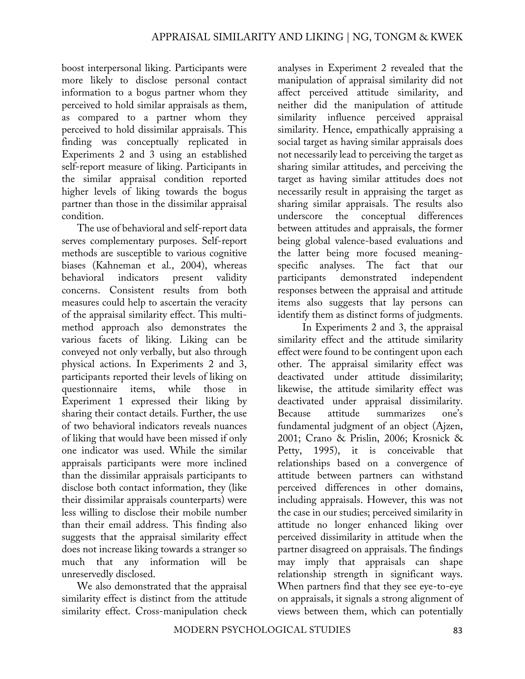boost interpersonal liking. Participants were more likely to disclose personal contact information to a bogus partner whom they perceived to hold similar appraisals as them, as compared to a partner whom they perceived to hold dissimilar appraisals. This finding was conceptually replicated in Experiments 2 and 3 using an established self-report measure of liking. Participants in the similar appraisal condition reported higher levels of liking towards the bogus partner than those in the dissimilar appraisal condition.

The use of behavioral and self-report data serves complementary purposes. Self-report methods are susceptible to various cognitive biases (Kahneman et al., 2004), whereas behavioral indicators present validity concerns. Consistent results from both measures could help to ascertain the veracity of the appraisal similarity effect. This multimethod approach also demonstrates the various facets of liking. Liking can be conveyed not only verbally, but also through physical actions. In Experiments 2 and 3, participants reported their levels of liking on questionnaire items, while those in Experiment 1 expressed their liking by sharing their contact details. Further, the use of two behavioral indicators reveals nuances of liking that would have been missed if only one indicator was used. While the similar appraisals participants were more inclined than the dissimilar appraisals participants to disclose both contact information, they (like their dissimilar appraisals counterparts) were less willing to disclose their mobile number than their email address. This finding also suggests that the appraisal similarity effect does not increase liking towards a stranger so much that any information will be unreservedly disclosed.

We also demonstrated that the appraisal similarity effect is distinct from the attitude similarity effect. Cross-manipulation check

analyses in Experiment 2 revealed that the manipulation of appraisal similarity did not affect perceived attitude similarity, and neither did the manipulation of attitude similarity influence perceived appraisal similarity. Hence, empathically appraising a social target as having similar appraisals does not necessarily lead to perceiving the target as sharing similar attitudes, and perceiving the target as having similar attitudes does not necessarily result in appraising the target as sharing similar appraisals. The results also underscore the conceptual differences between attitudes and appraisals, the former being global valence-based evaluations and the latter being more focused meaningspecific analyses. The fact that our participants demonstrated independent responses between the appraisal and attitude items also suggests that lay persons can identify them as distinct forms of judgments.

In Experiments 2 and 3, the appraisal similarity effect and the attitude similarity effect were found to be contingent upon each other. The appraisal similarity effect was deactivated under attitude dissimilarity; likewise, the attitude similarity effect was deactivated under appraisal dissimilarity. Because attitude summarizes one's fundamental judgment of an object (Ajzen, 2001; Crano & Prislin, 2006; Krosnick & Petty, 1995), it is conceivable that relationships based on a convergence of attitude between partners can withstand perceived differences in other domains, including appraisals. However, this was not the case in our studies; perceived similarity in attitude no longer enhanced liking over perceived dissimilarity in attitude when the partner disagreed on appraisals. The findings may imply that appraisals can shape relationship strength in significant ways. When partners find that they see eye-to-eye on appraisals, it signals a strong alignment of views between them, which can potentially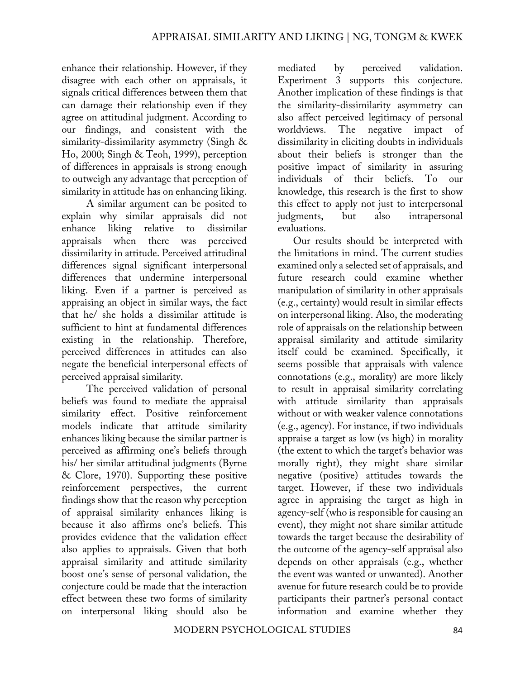enhance their relationship. However, if they disagree with each other on appraisals, it signals critical differences between them that can damage their relationship even if they agree on attitudinal judgment. According to our findings, and consistent with the similarity-dissimilarity asymmetry (Singh & Ho, 2000; Singh & Teoh, 1999), perception of differences in appraisals is strong enough to outweigh any advantage that perception of similarity in attitude has on enhancing liking.

A similar argument can be posited to explain why similar appraisals did not enhance liking relative to dissimilar appraisals when there was perceived dissimilarity in attitude. Perceived attitudinal differences signal significant interpersonal differences that undermine interpersonal liking. Even if a partner is perceived as appraising an object in similar ways, the fact that he/ she holds a dissimilar attitude is sufficient to hint at fundamental differences existing in the relationship. Therefore, perceived differences in attitudes can also negate the beneficial interpersonal effects of perceived appraisal similarity.

The perceived validation of personal beliefs was found to mediate the appraisal similarity effect. Positive reinforcement models indicate that attitude similarity enhances liking because the similar partner is perceived as affirming one's beliefs through his/ her similar attitudinal judgments (Byrne & Clore, 1970). Supporting these positive reinforcement perspectives, the current findings show that the reason why perception of appraisal similarity enhances liking is because it also affirms one's beliefs. This provides evidence that the validation effect also applies to appraisals. Given that both appraisal similarity and attitude similarity boost one's sense of personal validation, the conjecture could be made that the interaction effect between these two forms of similarity on interpersonal liking should also be

mediated by perceived validation. Experiment 3 supports this conjecture. Another implication of these findings is that the similarity-dissimilarity asymmetry can also affect perceived legitimacy of personal worldviews. The negative impact of dissimilarity in eliciting doubts in individuals about their beliefs is stronger than the positive impact of similarity in assuring individuals of their beliefs. To our knowledge, this research is the first to show this effect to apply not just to interpersonal judgments, but also intrapersonal evaluations.

Our results should be interpreted with the limitations in mind. The current studies examined only a selected set of appraisals, and future research could examine whether manipulation of similarity in other appraisals (e.g., certainty) would result in similar effects on interpersonal liking. Also, the moderating role of appraisals on the relationship between appraisal similarity and attitude similarity itself could be examined. Specifically, it seems possible that appraisals with valence connotations (e.g., morality) are more likely to result in appraisal similarity correlating with attitude similarity than appraisals without or with weaker valence connotations (e.g., agency). For instance, if two individuals appraise a target as low (vs high) in morality (the extent to which the target's behavior was morally right), they might share similar negative (positive) attitudes towards the target. However, if these two individuals agree in appraising the target as high in agency-self (who is responsible for causing an event), they might not share similar attitude towards the target because the desirability of the outcome of the agency-self appraisal also depends on other appraisals (e.g., whether the event was wanted or unwanted). Another avenue for future research could be to provide participants their partner's personal contact information and examine whether they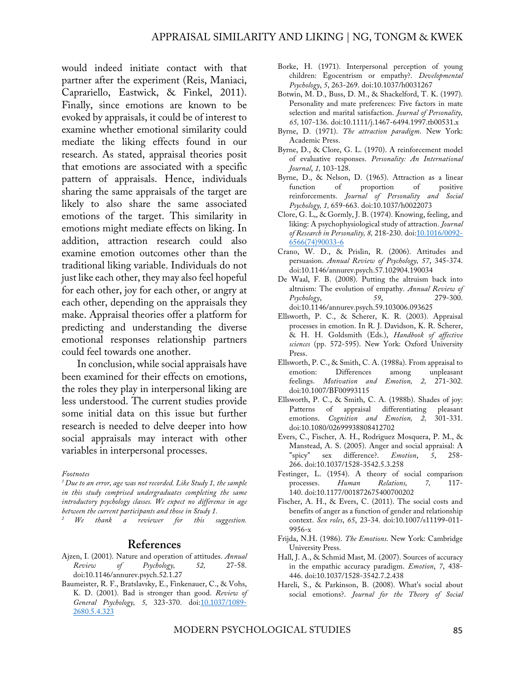would indeed initiate contact with that partner after the experiment (Reis, Maniaci, Caprariello, Eastwick, & Finkel, 2011). Finally, since emotions are known to be evoked by appraisals, it could be of interest to examine whether emotional similarity could mediate the liking effects found in our research. As stated, appraisal theories posit that emotions are associated with a specific pattern of appraisals. Hence, individuals sharing the same appraisals of the target are likely to also share the same associated emotions of the target. This similarity in emotions might mediate effects on liking. In addition, attraction research could also examine emotion outcomes other than the traditional liking variable. Individuals do not just like each other, they may also feel hopeful for each other, joy for each other, or angry at each other, depending on the appraisals they make. Appraisal theories offer a platform for predicting and understanding the diverse emotional responses relationship partners could feel towards one another.

In conclusion, while social appraisals have been examined for their effects on emotions, the roles they play in interpersonal liking are less understood. The current studies provide some initial data on this issue but further research is needed to delve deeper into how social appraisals may interact with other variables in interpersonal processes.

#### *Footnotes*

*1 Due to an error, age was not recorded. Like Study 1, the sample in this study comprised undergraduates completing the same introductory psychology classes. We expect no difference in age between the current participants and those in Study 1.*<br><sup>2</sup> We thank a reviewer for this suggestion.

#### **References**

- Ajzen, I. (2001). Nature and operation of attitudes. *Annual Review of Psychology, 52,* 27-58. doi:10.1146/annurev.psych.52.1.27
- Baumeister, R. F., Bratslavsky, E., Finkenauer, C., & Vohs, K. D. (2001). Bad is stronger than good. *Review of General Psychology, 5,* 323-370. doi:10.1037/1089- 2680.5.4.323
- Borke, H. (1971). Interpersonal perception of young children: Egocentrism or empathy?. *Developmental Psychology*, *5*, 263-269. doi:10.1037/h0031267
- Botwin, M. D., Buss, D. M., & Shackelford, T. K. (1997). Personality and mate preferences: Five factors in mate selection and marital satisfaction. *Journal of Personality, 65,* 107-136. doi:10.1111/j.1467-6494.1997.tb00531.x
- Byrne, D. (1971). *The attraction paradigm*. New York: Academic Press.
- Byrne, D., & Clore, G. L. (1970). A reinforcement model of evaluative responses. *Personality: An International Journal*, *1,* 103-128.
- Byrne, D., & Nelson, D. (1965). Attraction as a linear function of positive function of proportion of reinforcements. *Journal of Personality and Social Psychology, 1,* 659-663. doi:10.1037/h0022073
- Clore, G. L,, & Gormly, J. B. (1974). Knowing, feeling, and liking: A psychophysiological study of attraction. *Journal of Research in Personality, 8,* 218-230. doi:10.1016/0092- 6566(74)90033-6
- Crano, W. D., & Prislin, R. (2006). Attitudes and persuasion. *Annual Review of Psychology, 57*, 345-374. doi:10.1146/annurev.psych.57.102904.190034
- De Waal, F. B. (2008). Putting the altruism back into altruism: The evolution of empathy. *Annual Review of Psychology*, *59*, 279-300. doi:10.1146/annurev.psych.59.103006.093625
- Ellsworth, P. C., & Scherer, K. R. (2003). Appraisal processes in emotion. In R. J. Davidson, K. R. Scherer, & H. H. Goldsmith (Eds.), *Handbook of affective sciences* (pp. 572-595). New York: Oxford University Press.
- Ellsworth, P. C., & Smith, C. A. (1988a). From appraisal to emotion: Differences among unpleasant<br>feelings. *Motivation and Emotion*, 2, 271-302. feelings. *Motivation and Emotion*, doi:10.1007/BF00993115
- Ellsworth, P. C., & Smith, C. A. (1988b). Shades of joy: Patterns of appraisal differentiating pleasant emotions. *Cognition and Emotion, 2,* 301-331. doi:10.1080/02699938808412702
- Evers, C., Fischer, A. H., Rodriguez Mosquera, P. M., & Manstead, A. S. (2005). Anger and social appraisal: A "spicy" sex difference?. *Emotion*, *5*, 258- 266. doi:10.1037/1528-3542.5.3.258
- Festinger, L. (1954). A theory of social comparison processes. *Human Relations, 7,* 117- 140. doi:10.1177/001872675400700202
- Fischer, A. H., & Evers, C. (2011). The social costs and benefits of anger as a function of gender and relationship context. *Sex roles*, *65*, 23-34. doi:10.1007/s11199-011- 9956-x
- Frijda, N.H. (1986). *The Emotions.* New York: Cambridge University Press.
- Hall, J. A., & Schmid Mast, M. (2007). Sources of accuracy in the empathic accuracy paradigm. *Emotion*, *7*, 438- 446. doi:10.1037/1528-3542.7.2.438
- Hareli, S., & Parkinson, B. (2008). What's social about social emotions?. *Journal for the Theory of Social*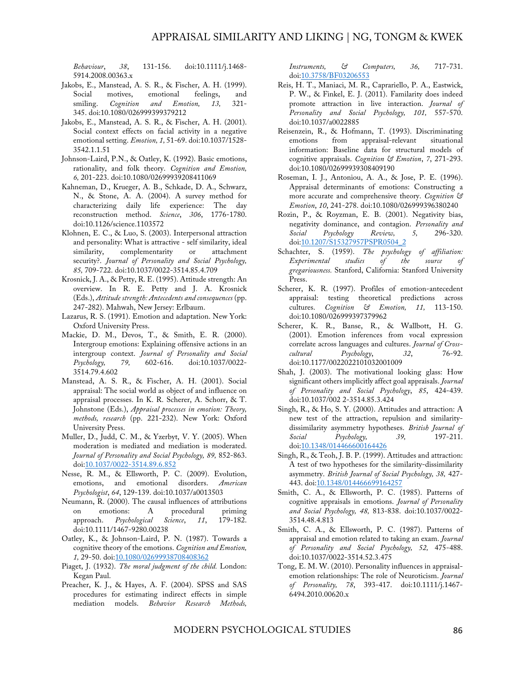*Behaviour*, *38*, 131-156. doi:10.1111/j.1468- 5914.2008.00363.x

- Jakobs, E., Manstead, A. S. R., & Fischer, A. H. (1999). Social motives, emotional feelings, and smiling. *Cognition and Emotion, 13,* 321- 345. doi:10.1080/026999399379212
- Jakobs, E., Manstead, A. S. R., & Fischer, A. H. (2001). Social context effects on facial activity in a negative emotional setting. *Emotion, 1,* 51-69. doi:10.1037/1528- 3542.1.1.51
- Johnson-Laird, P.N., & Oatley, K. (1992). Basic emotions, rationality, and folk theory. *Cognition and Emotion, 6,* 201-223. doi:10.1080/02699939208411069
- Kahneman, D., Krueger, A. B., Schkade, D. A., Schwarz, N., & Stone, A. A. (2004). A survey method for characterizing daily life experience: The day reconstruction method. *Science*, *306*, 1776-1780. doi:10.1126/science.1103572
- Klohnen, E. C., & Luo, S. (2003). Interpersonal attraction and personality: What is attractive - self similarity, ideal similarity, complementarity or attachment security?. *Journal of Personality and Social Psychology, 85,* 709-722. doi:10.1037/0022-3514.85.4.709
- Krosnick, J. A., & Petty, R. E. (1995). Attitude strength: An overview. In R. E. Petty and J. A. Krosnick (Eds.), *Attitude strength: Antecedents and consequences* (pp. 247-282). Mahwah, New Jersey: Erlbaum.
- Lazarus, R. S. (1991). Emotion and adaptation. New York: Oxford University Press.
- Mackie, D. M., Devos, T., & Smith, E. R. (2000). Intergroup emotions: Explaining offensive actions in an intergroup context. *Journal of Personality and Social Psychology, 79,* 602-616. doi:10.1037/0022- 3514.79.4.602
- Manstead, A. S. R., & Fischer, A. H. (2001). Social appraisal: The social world as object of and influence on appraisal processes. In K. R. Scherer, A. Schorr, & T. Johnstone (Eds.), *Appraisal processes in emotion: Theory, methods, research* (pp. 221-232). New York: Oxford University Press.
- Muller, D., Judd, C. M., & Yzerbyt, V. Y. (2005). When moderation is mediated and mediation is moderated. *Journal of Personality and Social Psychology, 89,* 852-863. doi:10.1037/0022-3514.89.6.852
- Nesse, R. M., & Ellsworth, P. C. (2009). Evolution, emotions, and emotional disorders. *American Psychologist*, *64*, 129-139. doi:10.1037/a0013503
- Neumann, R. (2000). The causal influences of attributions on emotions: A procedural priming approach. *Psychological Science*, *11*, 179-182. doi:10.1111/1467-9280.00238
- Oatley, K., & Johnson-Laird, P. N. (1987). Towards a cognitive theory of the emotions. *Cognition and Emotion, 1,* 29-50. doi:10.1080/02699938708408362
- Piaget, J. (1932). *The moral judgment of the child.* London: Kegan Paul.
- Preacher, K. J., & Hayes, A. F. (2004). SPSS and SAS procedures for estimating indirect effects in simple mediation models. *Behavior Research Methods,*

*Instruments, & Computers, 36,* 717-731. doi:10.3758/BF03206553

- Reis, H. T., Maniaci, M. R., Caprariello, P. A., Eastwick, P. W., & Finkel, E. J. (2011). Familarity does indeed promote attraction in live interaction. *Journal of Personality and Social Psychology, 101,* 557-570. doi:10.1037/a0022885
- Reisenzein, R., & Hofmann, T. (1993). Discriminating emotions from appraisal-relevant situational information: Baseline data for structural models of cognitive appraisals. *Cognition & Emotion*, *7*, 271-293. doi:10.1080/02699939308409190
- Roseman, I. J., Antoniou, A. A., & Jose, P. E. (1996). Appraisal determinants of emotions: Constructing a more accurate and comprehensive theory. *Cognition & Emotion*, *10*, 241-278. doi:10.1080/026999396380240
- Rozin, P., & Royzman, E. B. (2001). Negativity bias, negativity dominance, and contagion. *Personality and Social Psychology Review, 5,* 296-320. doi:10.1207/S15327957PSPR0504\_2
- Schachter, S. (1959). *The psychology of affiliation: Experimental studies of the source of gregariousness.* Stanford, California: Stanford University Press.
- Scherer, K. R. (1997). Profiles of emotion-antecedent appraisal: testing theoretical predictions across cultures. *Cognition & Emotion, 11,* 113-150. doi:10.1080/026999397379962
- Scherer, K. R., Banse, R., & Wallbott, H. G. (2001). Emotion inferences from vocal expression correlate across languages and cultures. *Journal of Crosscultural Psychology*, *32*, 76-92. doi:10.1177/0022022101032001009
- Shah, J. (2003). The motivational looking glass: How significant others implicitly affect goal appraisals. *Journal of Personality and Social Psychology*, *85*, 424-439. doi:10.1037/002 2-3514.85.3.424
- Singh, R., & Ho, S. Y. (2000). Attitudes and attraction: A new test of the attraction, repulsion and similaritydissimilarity asymmetry hypotheses. *British Journal of Social Psychology, 39,* 197-211. doi:10.1348/014466600164426
- Singh, R., & Teoh, J. B. P. (1999). Attitudes and attraction: A test of two hypotheses for the similarity-dissimilarity asymmetry. *British Journal of Social Psychology, 38,* 427- 443. doi:10.1348/014466699164257
- Smith, C. A., & Ellsworth, P. C. (1985). Patterns of cognitive appraisals in emotions. *Journal of Personality and Social Psychology, 48,* 813-838. doi:10.1037/0022- 3514.48.4.813
- Smith, C. A., & Ellsworth, P. C. (1987). Patterns of appraisal and emotion related to taking an exam. *Journal of Personality and Social Psychology, 52,* 475-488. doi:10.1037/0022-3514.52.3.475
- Tong, E. M. W. (2010). Personality influences in appraisalemotion relationships: The role of Neuroticism. *Journal of Personality, 78*, 393-417. doi:10.1111/j.1467- 6494.2010.00620.x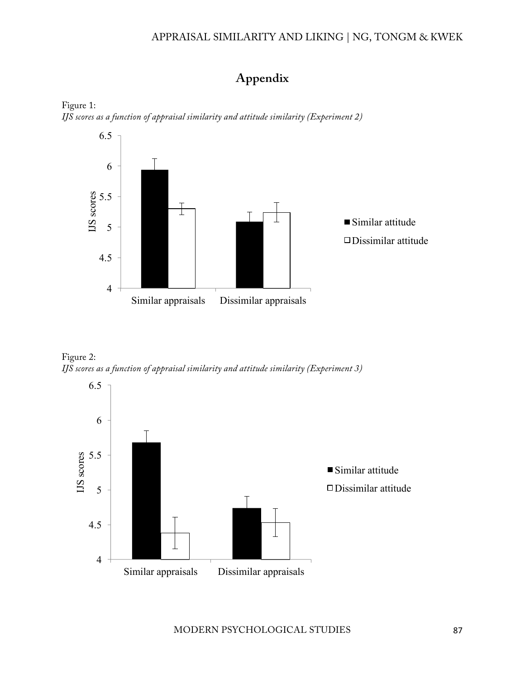#### APPRAISAL SIMILARITY AND LIKING | NG, TONGM & KWEK

# **Appendix**





Figure 2: *IJS scores as a function of appraisal similarity and attitude similarity (Experiment 3)*

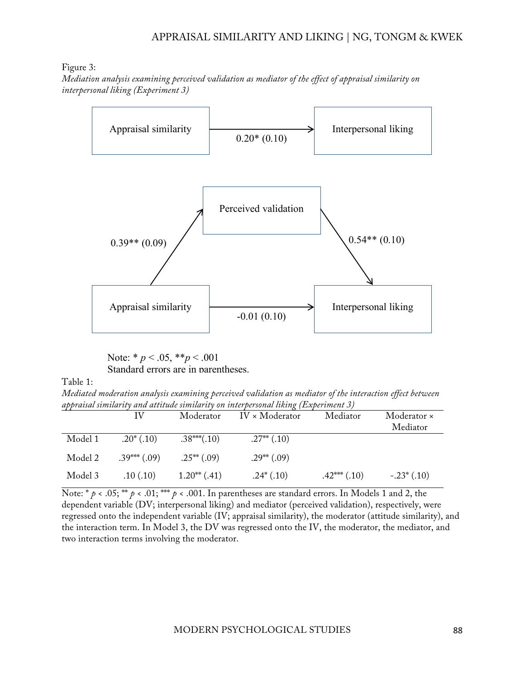Figure 3:

*Mediation analysis examining perceived validation as mediator of the effect of appraisal similarity on interpersonal liking (Experiment 3)*



Note: \* *p* < .05, \*\**p* < .001 Standard errors are in parentheses.

Table 1:

*Mediated moderation analysis examining perceived validation as mediator of the interaction effect between appraisal similarity and attitude similarity on interpersonal liking (Experiment 3)*

|         | IV             | Moderator       | $IV \times Modern$ | Mediator         | Moderator ×<br>Mediator |
|---------|----------------|-----------------|--------------------|------------------|-------------------------|
| Model 1 | $.20^*$ (.10)  | $.38***(.10)$   | $.27**$ $(.10)$    |                  |                         |
| Model 2 | $.39***$ (.09) | $.25^{**}(.09)$ | $.29**$ (.09)      |                  |                         |
| Model 3 | .10(.10)       | $1.20**$ (.41)  | $.24*(.10)$        | $.42***$ $(.10)$ | $-.23^*(.10)$           |

Note: \*  $p$  < .05; \*\*  $p$  < .01; \*\*\*  $p$  < .001. In parentheses are standard errors. In Models 1 and 2, the dependent variable (DV; interpersonal liking) and mediator (perceived validation), respectively, were regressed onto the independent variable (IV; appraisal similarity), the moderator (attitude similarity), and the interaction term. In Model 3, the DV was regressed onto the IV, the moderator, the mediator, and two interaction terms involving the moderator.